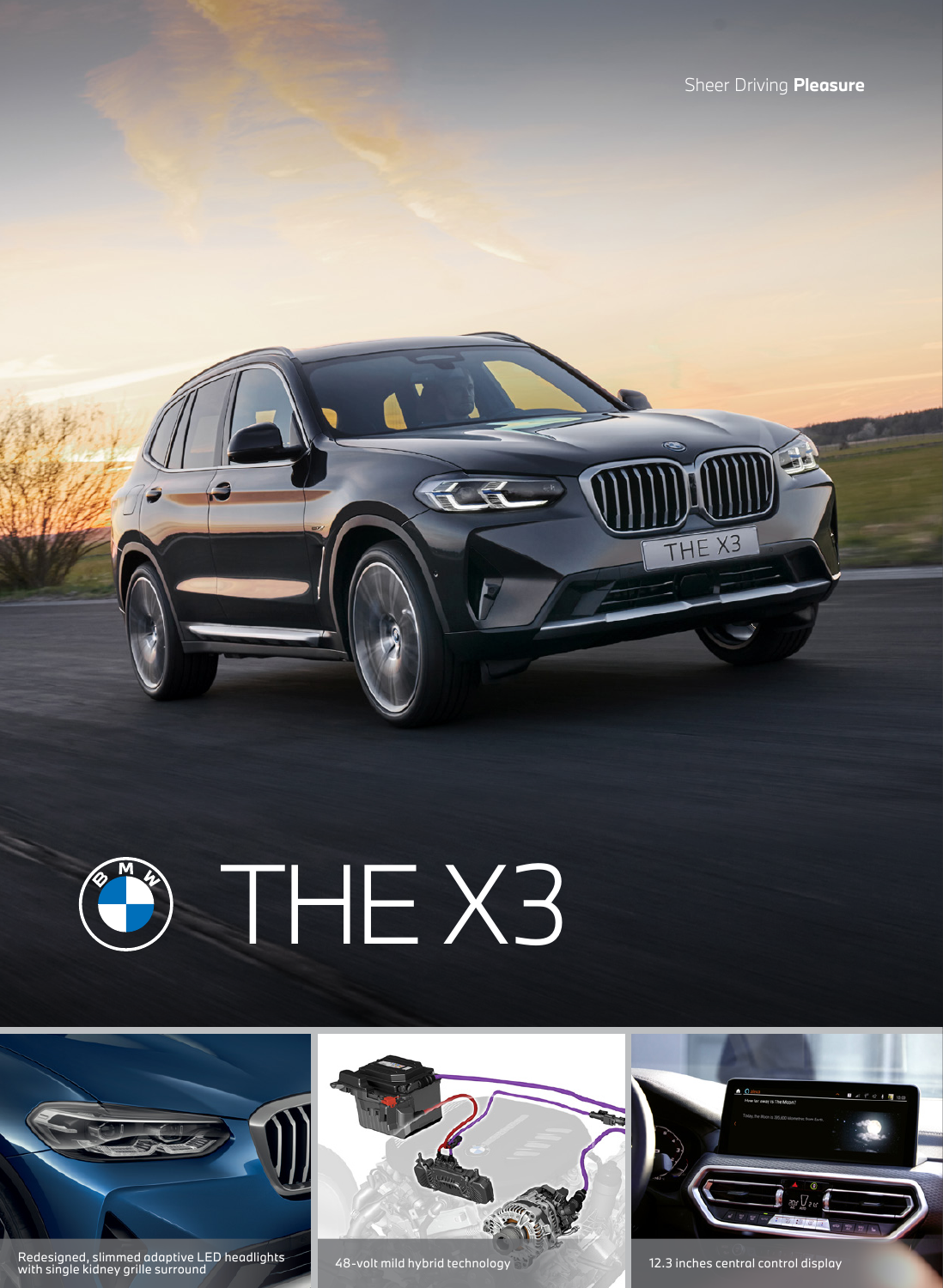